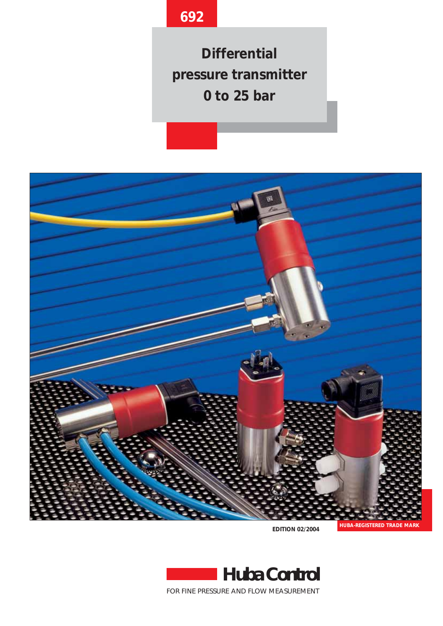# **692**

**Differential pressure transmitter 0 to 25 bar**



**EDITION 02/2004**



FOR FINE PRESSURE AND FLOW MEASUREMENT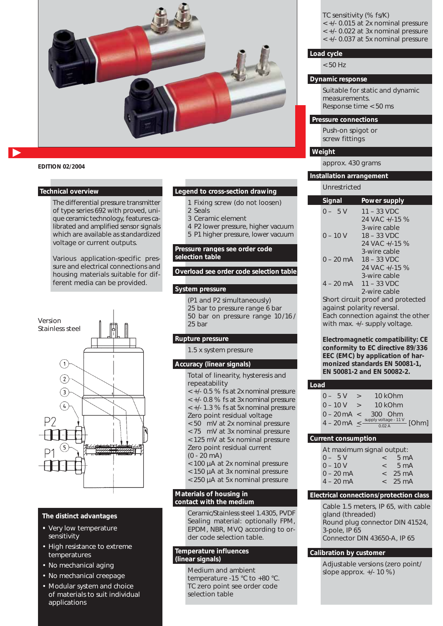

### **EDITION 02/2004**

#### **Technical overview**

The differential pressure transmitter of type series 692 with proved, unique ceramic technology, features calibrated and amplified sensor signals which are available as standardized voltage or current outputs.

Various application-specific pressure and electrical connections and housing materials suitable for different media can be provided.



## **The distinct advantages**

- **•** Very low temperature sensitivity
- High resistance to extreme temperatures
- No mechanical aging
- No mechanical creepage
- Modular system and choice of materials to suit individual applications

#### **Legend to cross-section drawing**

- 1 Fixing screw (do not loosen)
- 2 Seals
- 3 Ceramic element
- 4 P2 lower pressure, higher vacuum 5 P1 higher pressure, lower vacuum
- 

# **Pressure ranges see order code selection table**

**Overload see order code selection table**

### **System pressure**

(P1 and P2 simultaneously) 25 bar to pressure range 6 bar 50 bar on pressure range 10 /16 / 25 bar

# **Rupture pressure**

1.5 x system pressure

#### **Accuracy (linear signals)**

Total of linearity, hysteresis and repeatability < +/- 0.5 % fs at 2x nominal pressure < +/- 0.8 % fs at 3x nominal pressure < +/- 1.3 % fs at 5x nominal pressure Zero point residual voltage < 50 mV at 2x nominal pressure

< 75 mV at 3x nominal pressure < 125 mV at 5x nominal pressure

- Zero point residual current
- (0 20 mA)
- < 100 µA at 2x nominal pressure
- < 150 µA at 3x nominal pressure
- < 250 µA at 5x nominal pressure

#### **Materials of housing in contact with the medium**

Ceramic/Stainless steel 1.4305, PVDF Sealing material: optionally FPM, EPDM, NBR, MVQ according to order code selection table.

#### **Temperature influences (linear signals)**

Medium and ambient temperature -15 °C to +80 °C. TC zero point see order code selection table

TC sensitivity (% fs/K) < +/- 0.015 at 2x nominal pressure

- < +/- 0.022 at 3x nominal pressure
- < +/- 0.037 at 5x nominal pressure

#### **Load cycle**

< 50 Hz

#### **Dynamic response**

Suitable for static and dynamic measurements. Response time < 50 ms

#### **Pressure connections**

Push-on spigot or screw fittings

## **Weight**

approx. 430 grams

#### **Installation arrangement**

Unrestricted

| Signal              | Power supply                      |
|---------------------|-----------------------------------|
| $0 - 5V$            | $11 - 33$ VDC                     |
|                     | 24 VAC $+1.15$ %                  |
|                     | 3-wire cable                      |
| $0 - 10 V$          | $18 - 33$ VDC                     |
|                     | 24 VAC $+1.15$ %                  |
|                     | 3-wire cable                      |
| $0 - 20$ mA         | $18 - 33$ VDC                     |
|                     | 24 VAC +/-15 %                    |
|                     | 3-wire cable                      |
| $4 - 20 \text{ mA}$ | $11 - 33$ VDC                     |
|                     | 2-wire cable                      |
|                     | Short circuit proof and protoctod |

short circuit proof and pi against polarity reversal. Each connection against the other with max. +/- supply voltage.

**Electromagnetic compatibility: CE conformity to EC directive 89/336 EEC (EMC) by application of harmonized standards EN 50081-1, EN 50081-2 and EN 50082-2.**

|--|

| $0 - 5V$                   | $\geq$        | 10 kOhm                                                      |  |
|----------------------------|---------------|--------------------------------------------------------------|--|
| $0 - 10V$                  | $\rightarrow$ | 10 kOhm                                                      |  |
|                            |               | $0 - 20 \,\text{mA} < 300$ Ohm                               |  |
| $4 - 20 \text{ mA} \leq -$ |               | supply voltage - $\frac{11 \text{ V}}{0.02 \text{ A}}$ [Ohm] |  |

## **Current consumption**

| At maximum signal output: |       |                   |  |  |  |
|---------------------------|-------|-------------------|--|--|--|
| $0 - 5V$                  | $\lt$ | 5 <sub>m</sub> A  |  |  |  |
| $0 - 10V$                 | $\lt$ | $5 \text{ mA}$    |  |  |  |
| $0 - 20$ mA               | $\lt$ | $25 \text{ mA}$   |  |  |  |
| $4 - 20 \text{ mA}$       |       | $< 25 \text{ mA}$ |  |  |  |
|                           |       |                   |  |  |  |

## **Electrical connections/protection class**

Cable 1.5 meters, IP 65, with cable gland (threaded) Round plug connector DIN 41524, 3-pole, IP 65 Connector DIN 43650-A, IP 65

#### **Calibration by customer**

Adjustable versions (zero point/ slope approx. +/- 10 %)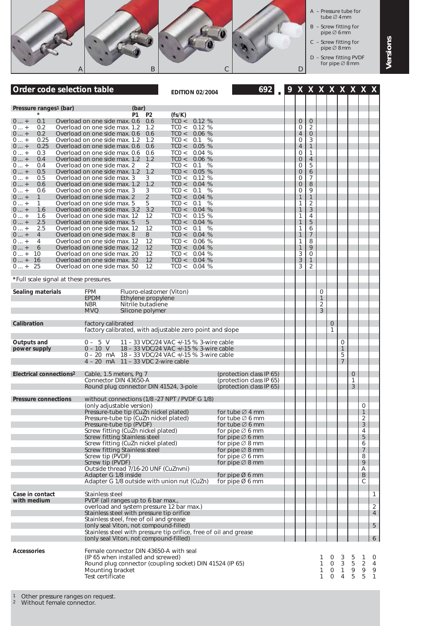

Other pressure ranges on request.

Without female connector.